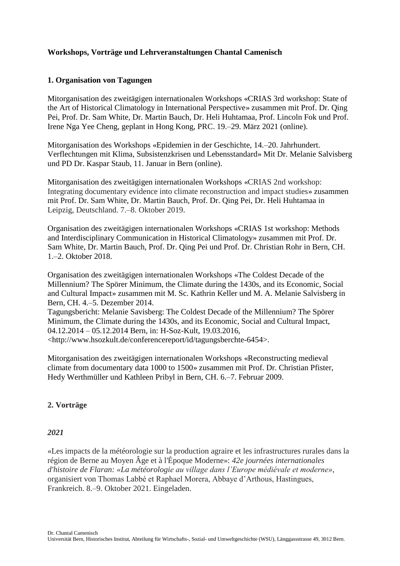# **Workshops, Vorträge und Lehrveranstaltungen Chantal Camenisch**

### **1. Organisation von Tagungen**

Mitorganisation des zweitägigen internationalen Workshops «CRIAS 3rd workshop: State of the Art of Historical Climatology in International Perspective» zusammen mit Prof. Dr. Qing Pei, Prof. Dr. Sam White, Dr. Martin Bauch, Dr. Heli Huhtamaa, Prof. Lincoln Fok und Prof. Irene Nga Yee Cheng, geplant in Hong Kong, PRC. 19.–29. März 2021 (online).

Mitorganisation des Workshops «Epidemien in der Geschichte, 14.–20. Jahrhundert. Verflechtungen mit Klima, Subsistenzkrisen und Lebensstandard» Mit Dr. Melanie Salvisberg und PD Dr. Kaspar Staub, 11. Januar in Bern (online).

Mitorganisation des zweitägigen internationalen Workshops «CRIAS 2nd workshop: Integrating documentary evidence into climate reconstruction and impact studies» zusammen mit Prof. Dr. Sam White, Dr. Martin Bauch, Prof. Dr. Qing Pei, Dr. Heli Huhtamaa in Leipzig, Deutschland. 7.–8. Oktober 2019.

Organisation des zweitägigen internationalen Workshops «CRIAS 1st workshop: Methods and Interdisciplinary Communication in Historical Climatology» zusammen mit Prof. Dr. Sam White, Dr. Martin Bauch, Prof. Dr. Qing Pei und Prof. Dr. Christian Rohr in Bern, CH. 1.–2. Oktober 2018.

Organisation des zweitägigen internationalen Workshops «The Coldest Decade of the Millennium? The Spörer Minimum, the Climate during the 1430s, and its Economic, Social and Cultural Impact» zusammen mit M. Sc. Kathrin Keller und M. A. Melanie Salvisberg in Bern, CH. 4.–5. Dezember 2014.

Tagungsbericht: Melanie Savisberg: The Coldest Decade of the Millennium? The Spörer Minimum, the Climate during the 1430s, and its Economic, Social and Cultural Impact, 04.12.2014 – 05.12.2014 Bern, in: H-Soz-Kult, 19.03.2016,

<http://www.hsozkult.de/conferencereport/id/tagungsberchte-6454>.

Mitorganisation des zweitägigen internationalen Workshops «Reconstructing medieval climate from documentary data 1000 to 1500» zusammen mit Prof. Dr. Christian Pfister, Hedy Werthmüller und Kathleen Pribyl in Bern, CH. 6.–7. Februar 2009.

# **2. Vorträge**

#### *2021*

«Les impacts de la météorologie sur la production agraire et les infrastructures rurales dans la région de Berne au Moyen Âge et à l'Époque Moderne»: *42e journées internationales d'histoire de Flaran: «La météorologie au village dans l'Europe médiévale et moderne»*, organisiert von Thomas Labbé et Raphael Morera, Abbaye d'Arthous, Hastingues, Frankreich. 8.–9. Oktober 2021. Eingeladen.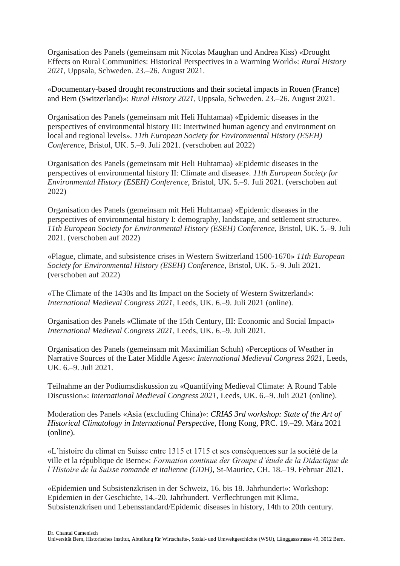Organisation des Panels (gemeinsam mit Nicolas Maughan und Andrea Kiss) «Drought Effects on Rural Communities: Historical Perspectives in a Warming World»: *Rural History 2021*, Uppsala, Schweden. 23.–26. August 2021.

«Documentary-based drought reconstructions and their societal impacts in Rouen (France) and Bern (Switzerland)»: *Rural History 2021*, Uppsala, Schweden. 23.–26. August 2021.

Organisation des Panels (gemeinsam mit Heli Huhtamaa) «Epidemic diseases in the perspectives of environmental history III: Intertwined human agency and environment on local and regional levels». *11th European Society for Environmental History (ESEH) Conference*, Bristol, UK. 5.–9. Juli 2021. (verschoben auf 2022)

Organisation des Panels (gemeinsam mit Heli Huhtamaa) «Epidemic diseases in the perspectives of environmental history II: Climate and disease». *11th European Society for Environmental History (ESEH) Conference*, Bristol, UK. 5.–9. Juli 2021. (verschoben auf 2022)

Organisation des Panels (gemeinsam mit Heli Huhtamaa) «Epidemic diseases in the perspectives of environmental history I: demography, landscape, and settlement structure». *11th European Society for Environmental History (ESEH) Conference*, Bristol, UK. 5.–9. Juli 2021. (verschoben auf 2022)

«Plague, climate, and subsistence crises in Western Switzerland 1500-1670» *11th European Society for Environmental History (ESEH) Conference*, Bristol, UK. 5.–9. Juli 2021. (verschoben auf 2022)

«The Climate of the 1430s and Its Impact on the Society of Western Switzerland»: *International Medieval Congress 2021*, Leeds, UK. 6.–9. Juli 2021 (online).

Organisation des Panels «Climate of the 15th Century, III: Economic and Social Impact» *International Medieval Congress 2021*, Leeds, UK. 6.–9. Juli 2021.

Organisation des Panels (gemeinsam mit Maximilian Schuh) «Perceptions of Weather in Narrative Sources of the Later Middle Ages»: *International Medieval Congress 2021*, Leeds, UK. 6.–9. Juli 2021.

Teilnahme an der Podiumsdiskussion zu «Quantifying Medieval Climate: A Round Table Discussion»: *International Medieval Congress 2021*, Leeds, UK. 6.–9. Juli 2021 (online).

Moderation des Panels «Asia (excluding China)»: *CRIAS 3rd workshop: State of the Art of Historical Climatology in International Perspective*, Hong Kong, PRC. 19.–29. März 2021 (online).

«L'histoire du climat en Suisse entre 1315 et 1715 et ses conséquences sur la société de la ville et la république de Berne»: *Formation continue der Groupe d'étude de la Didactique de l'Histoire de la Suisse romande et italienne (GDH)*, St-Maurice, CH. 18.–19. Februar 2021.

«Epidemien und Subsistenzkrisen in der Schweiz, 16. bis 18. Jahrhundert»: Workshop: Epidemien in der Geschichte, 14.-20. Jahrhundert. Verflechtungen mit Klima, Subsistenzkrisen und Lebensstandard/Epidemic diseases in history, 14th to 20th century.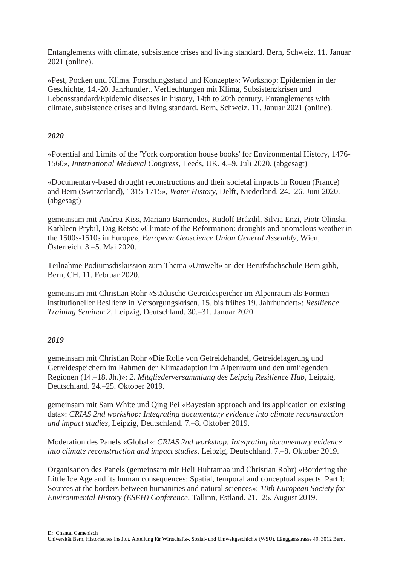Entanglements with climate, subsistence crises and living standard. Bern, Schweiz. 11. Januar 2021 (online).

«Pest, Pocken und Klima. Forschungsstand und Konzepte»: Workshop: Epidemien in der Geschichte, 14.-20. Jahrhundert. Verflechtungen mit Klima, Subsistenzkrisen und Lebensstandard/Epidemic diseases in history, 14th to 20th century. Entanglements with climate, subsistence crises and living standard. Bern, Schweiz. 11. Januar 2021 (online).

## *2020*

«Potential and Limits of the 'York corporation house books' for Environmental History, 1476- 1560», *International Medieval Congress*, Leeds, UK. 4.–9. Juli 2020. (abgesagt)

«Documentary-based drought reconstructions and their societal impacts in Rouen (France) and Bern (Switzerland), 1315-1715», *Water History*, Delft, Niederland. 24.–26. Juni 2020. (abgesagt)

gemeinsam mit Andrea Kiss, Mariano Barriendos, Rudolf Brázdil, Silvia Enzi, Piotr Olinski, Kathleen Prybil, Dag Retsö: «Climate of the Reformation: droughts and anomalous weather in the 1500s-1510s in Europe», *European Geoscience Union General Assembly*, Wien, Österreich. 3.–5. Mai 2020.

Teilnahme Podiumsdiskussion zum Thema «Umwelt» an der Berufsfachschule Bern gibb, Bern, CH. 11. Februar 2020.

gemeinsam mit Christian Rohr «Städtische Getreidespeicher im Alpenraum als Formen institutioneller Resilienz in Versorgungskrisen, 15. bis frühes 19. Jahrhundert»: *Resilience Training Seminar 2*, Leipzig, Deutschland. 30.–31. Januar 2020.

#### *2019*

gemeinsam mit Christian Rohr «Die Rolle von Getreidehandel, Getreidelagerung und Getreidespeichern im Rahmen der Klimaadaption im Alpenraum und den umliegenden Regionen (14.–18. Jh.)»: *2. Mitgliederversammlung des Leipzig Resilience Hub*, Leipzig, Deutschland. 24.–25. Oktober 2019.

gemeinsam mit Sam White und Qing Pei «Bayesian approach and its application on existing data»: *CRIAS 2nd workshop: Integrating documentary evidence into climate reconstruction and impact studies*, Leipzig, Deutschland. 7.–8. Oktober 2019.

Moderation des Panels «Global»: *CRIAS 2nd workshop: Integrating documentary evidence into climate reconstruction and impact studies*, Leipzig, Deutschland. 7.–8. Oktober 2019.

Organisation des Panels (gemeinsam mit Heli Huhtamaa und Christian Rohr) «Bordering the Little Ice Age and its human consequences: Spatial, temporal and conceptual aspects. Part I: Sources at the borders between humanities and natural sciences»: *10th European Society for Environmental History (ESEH) Conference*, Tallinn, Estland. 21.–25. August 2019.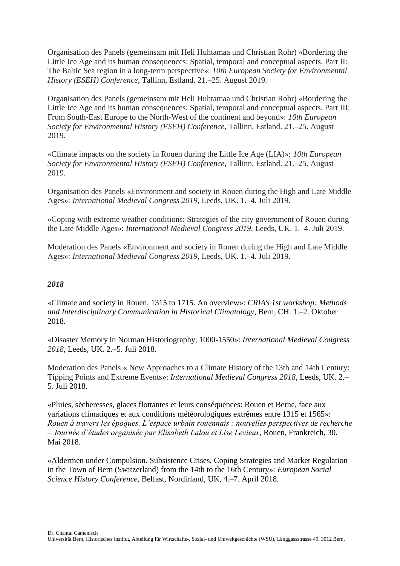Organisation des Panels (gemeinsam mit Heli Huhtamaa und Christian Rohr) «Bordering the Little Ice Age and its human consequences: Spatial, temporal and conceptual aspects. Part II: The Baltic Sea region in a long-term perspective»: *10th European Society for Environmental History (ESEH) Conference*, Tallinn, Estland. 21.–25. August 2019.

Organisation des Panels (gemeinsam mit Heli Huhtamaa und Christian Rohr) «Bordering the Little Ice Age and its human consequences: Spatial, temporal and conceptual aspects. Part III: From South-East Europe to the North-West of the continent and beyond»: *10th European Society for Environmental History (ESEH) Conference*, Tallinn, Estland. 21.–25. August 2019.

«Climate impacts on the society in Rouen during the Little Ice Age (LIA)»: *10th European Society for Environmental History (ESEH) Conference*, Tallinn, Estland. 21.–25. August 2019.

Organisation des Panels «Environment and society in Rouen during the High and Late Middle Ages»: *International Medieval Congress 2019*, Leeds, UK. 1.–4. Juli 2019.

«Coping with extreme weather conditions: Strategies of the city government of Rouen during the Late Middle Ages»: *International Medieval Congress 2019*, Leeds, UK. 1.–4. Juli 2019.

Moderation des Panels «Environment and society in Rouen during the High and Late Middle Ages»: *International Medieval Congress 2019*, Leeds, UK. 1.–4. Juli 2019.

### *2018*

«Climate and society in Rouen, 1315 to 1715. An overview»: *CRIAS 1st workshop: Methods and Interdisciplinary Communication in Historical Climatology*, Bern, CH. 1.–2. Oktober 2018.

«Disaster Memory in Norman Historiography, 1000-1550»: *International Medieval Congress 2018*, Leeds, UK. 2.–5. Juli 2018.

Moderation des Panels « New Approaches to a Climate History of the 13th and 14th Century: Tipping Points and Extreme Events»: *International Medieval Congress 2018*, Leeds, UK. 2.– 5. Juli 2018.

«Pluies, sècheresses, glaces flottantes et leurs conséquences: Rouen et Berne, face aux variations climatiques et aux conditions météorologiques extrêmes entre 1315 et 1565»: *Rouen à travers les époques. L'espace urbain rouennais : nouvelles perspectives de recherche – Journée d'études organisée par Elisabeth Lalou et Lise Levieux*, Rouen, Frankreich, 30. Mai 2018.

«Aldermen under Compulsion. Subsistence Crises, Coping Strategies and Market Regulation in the Town of Bern (Switzerland) from the 14th to the 16th Century»: *European Social Science History Conference*, Belfast, Nordirland, UK, 4.–7. April 2018.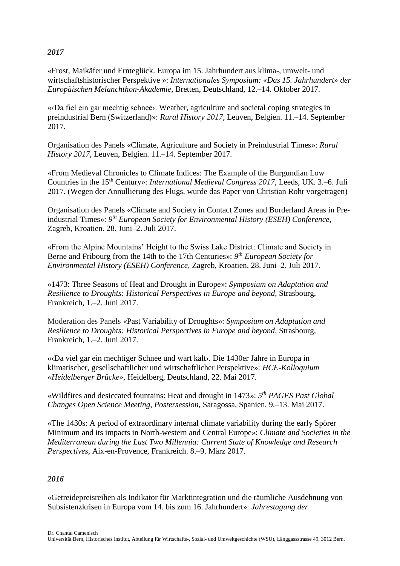# *2017*

«Frost, Maikäfer und Ernteglück. Europa im 15. Jahrhundert aus klima-, umwelt- und wirtschaftshistorischer Perspektive »: *Internationales Symposium: «Das 15. Jahrhundert» der Europäischen Melanchthon-Akademie*, Bretten, Deutschland, 12.–14. Oktober 2017.

«‹Da fiel ein gar mechtig schnee›. Weather, agriculture and societal coping strategies in preindustrial Bern (Switzerland)»: *Rural History 2017*, Leuven, Belgien. 11.–14. September 2017.

Organisation des Panels «Climate, Agriculture and Society in Preindustrial Times»: *Rural History 2017*, Leuven, Belgien. 11.–14. September 2017.

«From Medieval Chronicles to Climate Indices: The Example of the Burgundian Low Countries in the 15th Century»: *International Medieval Congress 2017*, Leeds, UK. 3.–6. Juli 2017. (Wegen der Annullierung des Flugs, wurde das Paper von Christian Rohr vorgetragen)

Organisation des Panels «Climate and Society in Contact Zones and Borderland Areas in Preindustrial Times»: *9 th European Society for Environmental History (ESEH) Conference*, Zagreb, Kroatien. 28. Juni–2. Juli 2017.

«From the Alpine Mountains' Height to the Swiss Lake District: Climate and Society in Berne and Fribourg from the 14th to the 17th Centuries»: *9 th European Society for Environmental History (ESEH) Conference*, Zagreb, Kroatien. 28. Juni–2. Juli 2017.

«1473: Three Seasons of Heat and Drought in Europe»: *Symposium on Adaptation and Resilience to Droughts: Historical Perspectives in Europe and beyond*, Strasbourg, Frankreich, 1.–2. Juni 2017.

Moderation des Panels «Past Variability of Droughts»: *Symposium on Adaptation and Resilience to Droughts: Historical Perspectives in Europe and beyond*, Strasbourg, Frankreich, 1.–2. Juni 2017.

«‹Da viel gar ein mechtiger Schnee und wart kalt›. Die 1430er Jahre in Europa in klimatischer, gesellschaftlicher und wirtschaftlicher Perspektive»: *HCE-Kolloquium «Heidelberger Brücke»*, Heidelberg, Deutschland, 22. Mai 2017.

«Wildfires and desiccated fountains: Heat and drought in 1473»: *5 th PAGES Past Global Changes Open Science Meeting, Postersession*, Saragossa, Spanien, 9.–13. Mai 2017.

«The 1430s: A period of extraordinary internal climate variability during the early Spörer Minimum and its impacts in North-western and Central Europe»: *Climate and Societies in the Mediterranean during the Last Two Millennia: Current State of Knowledge and Research Perspectives*, Aix*-*en-Provence, Frankreich. 8.–9. März 2017.

#### *2016*

«Getreidepreisreihen als Indikator für Marktintegration und die räumliche Ausdehnung von Subsistenzkrisen in Europa vom 14. bis zum 16. Jahrhundert»: *Jahrestagung der*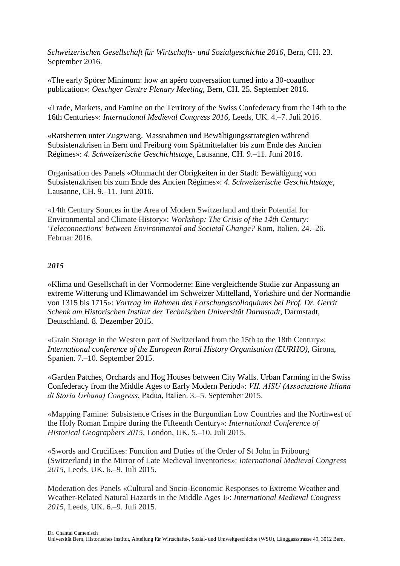*Schweizerischen Gesellschaft für Wirtschafts- und Sozialgeschichte 2016*, Bern, CH. 23. September 2016.

«The early Spörer Minimum: how an apéro conversation turned into a 30-coauthor publication»: *Oeschger Centre Plenary Meeting*, Bern, CH. 25. September 2016.

«Trade, Markets, and Famine on the Territory of the Swiss Confederacy from the 14th to the 16th Centuries»: *International Medieval Congress 2016*, Leeds, UK. 4.–7. Juli 2016.

«Ratsherren unter Zugzwang. Massnahmen und Bewältigungsstrategien während Subsistenzkrisen in Bern und Freiburg vom Spätmittelalter bis zum Ende des Ancien Régimes»: *4. Schweizerische Geschichtstage*, Lausanne, CH. 9.–11. Juni 2016.

Organisation des Panels «Ohnmacht der Obrigkeiten in der Stadt: Bewältigung von Subsistenzkrisen bis zum Ende des Ancien Régimes»: *4. Schweizerische Geschichtstage*, Lausanne, CH. 9.–11. Juni 2016.

«14th Century Sources in the Area of Modern Switzerland and their Potential for Environmental and Climate History»: *Workshop: The Crisis of the 14th Century: 'Teleconnections' between Environmental and Societal Change?* Rom, Italien. 24.–26. Februar 2016.

## *2015*

«Klima und Gesellschaft in der Vormoderne: Eine vergleichende Studie zur Anpassung an extreme Witterung und Klimawandel im Schweizer Mittelland, Yorkshire und der Normandie von 1315 bis 1715»: *Vortrag im Rahmen des Forschungscolloquiums bei Prof. Dr. Gerrit Schenk am Historischen Institut der Technischen Universität Darmstadt*, Darmstadt, Deutschland. 8. Dezember 2015.

«Grain Storage in the Western part of Switzerland from the 15th to the 18th Century»: *International conference of the European Rural History Organisation (EURHO)*, Girona, Spanien. 7.–10. September 2015.

«Garden Patches, Orchards and Hog Houses between City Walls. Urban Farming in the Swiss Confederacy from the Middle Ages to Early Modern Period»: *VII. AISU (Associazione Itliana di Storia Urbana) Congress*, Padua, Italien. 3.–5. September 2015.

«Mapping Famine: Subsistence Crises in the Burgundian Low Countries and the Northwest of the Holy Roman Empire during the Fifteenth Century»: *International Conference of Historical Geographers 2015*, London, UK. 5.–10. Juli 2015.

«Swords and Crucifixes: Function and Duties of the Order of St John in Fribourg (Switzerland) in the Mirror of Late Medieval Inventories»: *International Medieval Congress 2015*, Leeds, UK. 6.–9. Juli 2015.

Moderation des Panels «Cultural and Socio-Economic Responses to Extreme Weather and Weather-Related Natural Hazards in the Middle Ages I»: *International Medieval Congress 2015*, Leeds, UK. 6.–9. Juli 2015.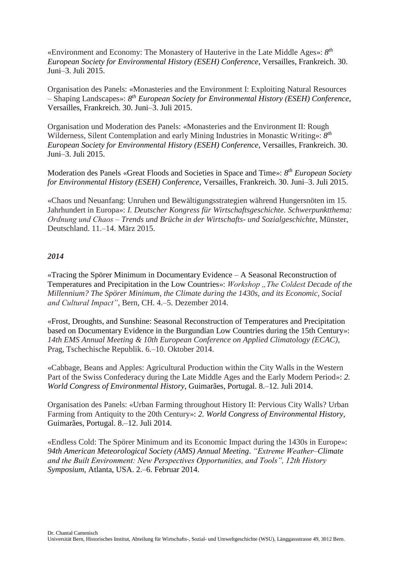«Environment and Economy: The Monastery of Hauterive in the Late Middle Ages»: *8 th European Society for Environmental History (ESEH) Conference*, Versailles, Frankreich. 30. Juni–3. Juli 2015.

Organisation des Panels: «Monasteries and the Environment I: Exploiting Natural Resources – Shaping Landscapes»: *8 th European Society for Environmental History (ESEH) Conference*, Versailles, Frankreich. 30. Juni–3. Juli 2015.

Organisation und Moderation des Panels: «Monasteries and the Environment II: Rough Wilderness, Silent Contemplation and early Mining Industries in Monastic Writing»: *8 th European Society for Environmental History (ESEH) Conference*, Versailles, Frankreich. 30. Juni–3. Juli 2015.

Moderation des Panels «Great Floods and Societies in Space and Time»: *8 th European Society for Environmental History (ESEH) Conference*, Versailles, Frankreich. 30. Juni–3. Juli 2015.

«Chaos und Neuanfang: Unruhen und Bewältigungsstrategien während Hungersnöten im 15. Jahrhundert in Europa»: *I. Deutscher Kongress für Wirtschaftsgeschichte. Schwerpunktthema: Ordnung und Chaos ‒ Trends und Brüche in der Wirtschafts- und Sozialgeschichte*, Münster, Deutschland. 11.–14. März 2015.

#### *2014*

«Tracing the Spörer Minimum in Documentary Evidence – A Seasonal Reconstruction of Temperatures and Precipitation in the Low Countries»: *Workshop* "The Coldest Decade of the *Millennium? The Spörer Minimum, the Climate during the 1430s, and its Economic, Social and Cultural Impact"*, Bern, CH. 4.–5. Dezember 2014.

«Frost, Droughts, and Sunshine: Seasonal Reconstruction of Temperatures and Precipitation based on Documentary Evidence in the Burgundian Low Countries during the 15th Century»: *14th EMS Annual Meeting & 10th European Conference on Applied Climatology (ECAC)*, Prag, Tschechische Republik. 6.–10. Oktober 2014.

«Cabbage, Beans and Apples: Agricultural Production within the City Walls in the Western Part of the Swiss Confederacy during the Late Middle Ages and the Early Modern Period»: *2. World Congress of Environmental History*, Guimarães, Portugal. 8.–12. Juli 2014.

Organisation des Panels: «Urban Farming throughout History II: Pervious City Walls? Urban Farming from Antiquity to the 20th Century»: *2. World Congress of Environmental History*, Guimarães, Portugal. 8.–12. Juli 2014.

«Endless Cold: The Spörer Minimum and its Economic Impact during the 1430s in Europe»: *94th American Meteorological Society (AMS) Annual Meeting*. *"Extreme Weather‒Climate and the Built Environment: New Perspectives Opportunities, and Tools", 12th History Symposium*, Atlanta, USA. 2.–6. Februar 2014.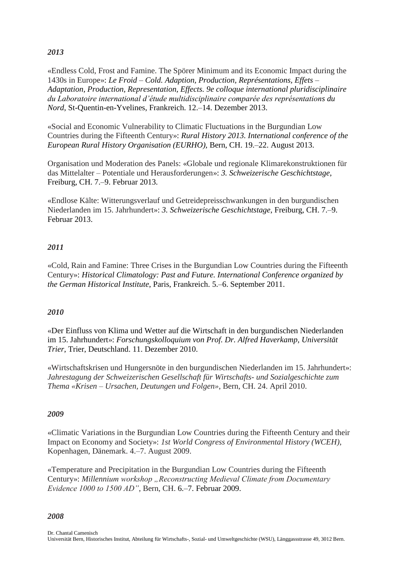# *2013*

«Endless Cold, Frost and Famine. The Spörer Minimum and its Economic Impact during the 1430s in Europe»: *Le Froid – Cold. Adaption, Production, Représentations, Effets – Adaptation, Production, Representation, Effects. 9e colloque international pluridisciplinaire du Laboratoire international d'étude multidisciplinaire comparée des représentations du Nord*, St-Quentin-en-Yvelines, Frankreich. 12.–14. Dezember 2013.

«Social and Economic Vulnerability to Climatic Fluctuations in the Burgundian Low Countries during the Fifteenth Century»: *Rural History 2013. International conference of the European Rural History Organisation (EURHO),* Bern, CH. 19.–22. August 2013.

Organisation und Moderation des Panels: «Globale und regionale Klimarekonstruktionen für das Mittelalter – Potentiale und Herausforderungen»: *3. Schweizerische Geschichtstage*, Freiburg, CH. 7.–9. Februar 2013.

«Endlose Kälte: Witterungsverlauf und Getreidepreisschwankungen in den burgundischen Niederlanden im 15. Jahrhundert»: *3. Schweizerische Geschichtstage*, Freiburg, CH. 7.–9. Februar 2013.

## *2011*

«Cold, Rain and Famine: Three Crises in the Burgundian Low Countries during the Fifteenth Century»: *Historical Climatology: Past and Future. International Conference organized by the German Historical Institute*, Paris, Frankreich. 5.–6. September 2011.

#### *2010*

«Der Einfluss von Klima und Wetter auf die Wirtschaft in den burgundischen Niederlanden im 15. Jahrhundert»: *Forschungskolloquium von Prof. Dr. Alfred Haverkamp, Universität Trier*, Trier, Deutschland. 11. Dezember 2010.

«Wirtschaftskrisen und Hungersnöte in den burgundischen Niederlanden im 15. Jahrhundert»: *Jahrestagung der Schweizerischen Gesellschaft für Wirtschafts- und Sozialgeschichte zum Thema «Krisen – Ursachen, Deutungen und Folgen»*, Bern, CH. 24. April 2010.

#### *2009*

«Climatic Variations in the Burgundian Low Countries during the Fifteenth Century and their Impact on Economy and Society»: *1st World Congress of Environmental History (WCEH)*, Kopenhagen, Dänemark. 4.–7. August 2009.

«Temperature and Precipitation in the Burgundian Low Countries during the Fifteenth Century»: Millennium workshop "Reconstructing Medieval Climate from Documentary *Evidence 1000 to 1500 AD"*, Bern, CH. 6.–7. Februar 2009.

#### *2008*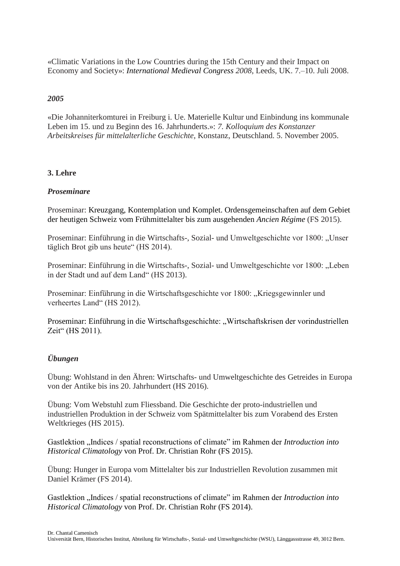«Climatic Variations in the Low Countries during the 15th Century and their Impact on Economy and Society»: *International Medieval Congress 2008*, Leeds, UK. 7.–10. Juli 2008.

## *2005*

«Die Johanniterkomturei in Freiburg i. Ue. Materielle Kultur und Einbindung ins kommunale Leben im 15. und zu Beginn des 16. Jahrhunderts.»: *7. Kolloquium des Konstanzer Arbeitskreises für mittelalterliche Geschichte*, Konstanz, Deutschland. 5. November 2005.

## **3. Lehre**

#### *Proseminare*

Proseminar: Kreuzgang, Kontemplation und Komplet. Ordensgemeinschaften auf dem Gebiet der heutigen Schweiz vom Frühmittelalter bis zum ausgehenden *Ancien Régime* (FS 2015).

Proseminar: Einführung in die Wirtschafts-, Sozial- und Umweltgeschichte vor 1800: "Unser täglich Brot gib uns heute" (HS 2014).

Proseminar: Einführung in die Wirtschafts-, Sozial- und Umweltgeschichte vor 1800: "Leben in der Stadt und auf dem Land" (HS 2013).

Proseminar: Einführung in die Wirtschaftsgeschichte vor 1800: "Kriegsgewinnler und verheertes Land" (HS 2012).

Proseminar: Einführung in die Wirtschaftsgeschichte: "Wirtschaftskrisen der vorindustriellen Zeit" (HS 2011).

# *Übungen*

Übung: Wohlstand in den Ähren: Wirtschafts- und Umweltgeschichte des Getreides in Europa von der Antike bis ins 20. Jahrhundert (HS 2016).

Übung: Vom Webstuhl zum Fliessband. Die Geschichte der proto-industriellen und industriellen Produktion in der Schweiz vom Spätmittelalter bis zum Vorabend des Ersten Weltkrieges (HS 2015).

Gastlektion "Indices / spatial reconstructions of climate" im Rahmen der *Introduction into Historical Climatology* von Prof. Dr. Christian Rohr (FS 2015).

Übung: Hunger in Europa vom Mittelalter bis zur Industriellen Revolution zusammen mit Daniel Krämer (FS 2014).

Gastlektion "Indices / spatial reconstructions of climate" im Rahmen der *Introduction into Historical Climatology* von Prof. Dr. Christian Rohr (FS 2014).